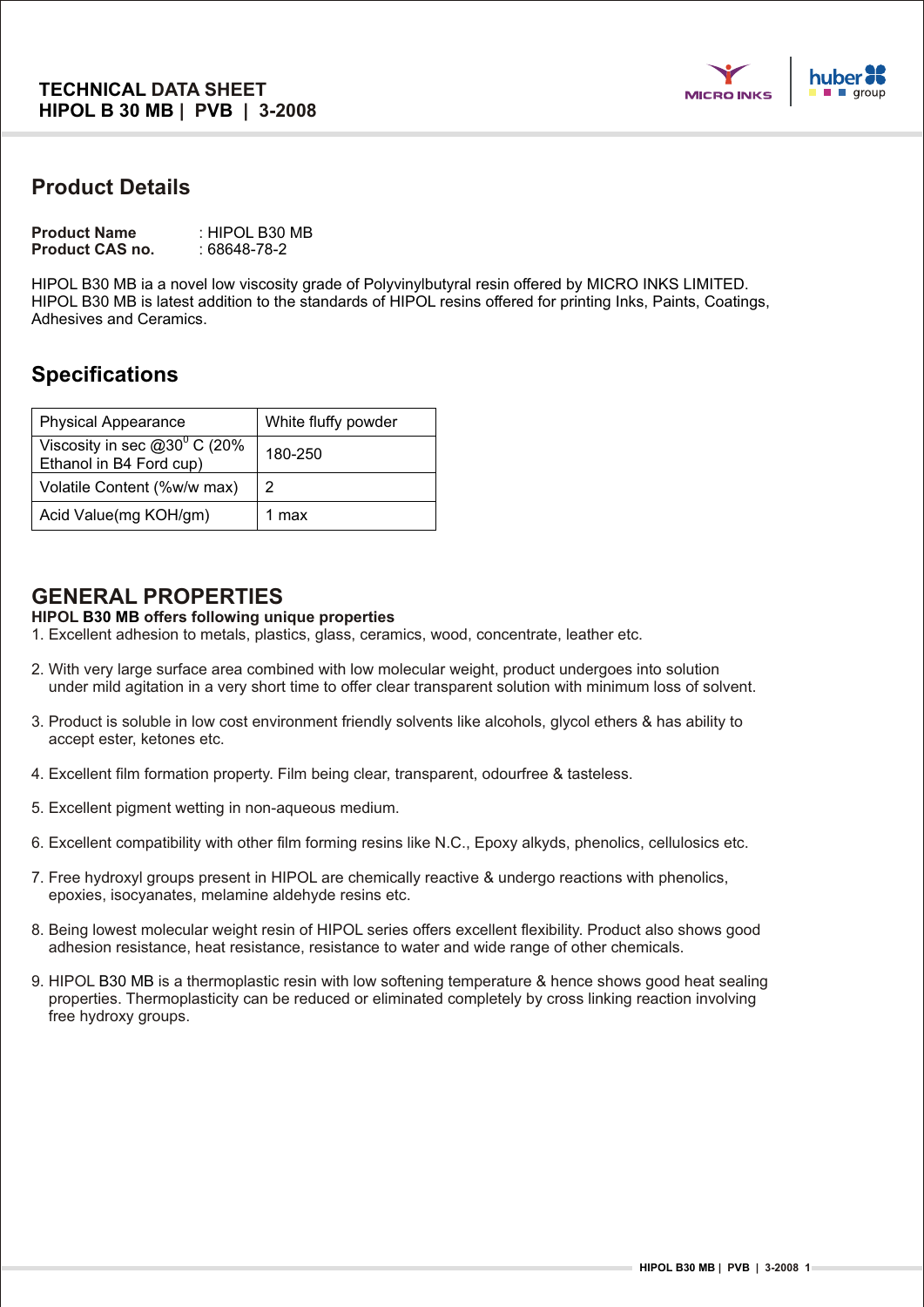

# **Product Details**

| <b>Product Name</b>    | : HIPOL B30 MB |
|------------------------|----------------|
| <b>Product CAS no.</b> | : 68648-78-2   |

HIPOL B30 MB ia a novel low viscosity grade of Polyvinylbutyral resin offered by MICRO INKS LIMITED. HIPOL B30 MB is latest addition to the standards of HIPOL resins offered for printing Inks, Paints, Coatings, Adhesives and Ceramics.

# **Specifications**

| <b>Physical Appearance</b>                                  | White fluffy powder |
|-------------------------------------------------------------|---------------------|
| Viscosity in sec $@30^0$ C (20%)<br>Ethanol in B4 Ford cup) | 180-250             |
| Volatile Content (%w/w max)                                 | 2                   |
| Acid Value(mg KOH/gm)                                       | max                 |

## **GENERAL PROPERTIES**

#### **HIPOL B30 MB offers following unique properties**

- 1. Excellent adhesion to metals, plastics, glass, ceramics, wood, concentrate, leather etc.
- 2. With very large surface area combined with low molecular weight, product undergoes into solution under mild agitation in a very short time to offer clear transparent solution with minimum loss of solvent.
- 3. Product is soluble in low cost environment friendly solvents like alcohols, glycol ethers & has ability to accept ester, ketones etc.
- 4. Excellent film formation property. Film being clear, transparent, odourfree & tasteless.
- 5. Excellent pigment wetting in non-aqueous medium.
- 6. Excellent compatibility with other film forming resins like N.C., Epoxy alkyds, phenolics, cellulosics etc.
- 7. Free hydroxyl groups present in HIPOL are chemically reactive & undergo reactions with phenolics, epoxies, isocyanates, melamine aldehyde resins etc.
- 8. Being lowest molecular weight resin of HIPOL series offers excellent flexibility. Product also shows good adhesion resistance, heat resistance, resistance to water and wide range of other chemicals.
- 9. HIPOL B30 MB is a thermoplastic resin with low softening temperature & hence shows good heat sealing properties. Thermoplasticity can be reduced or eliminated completely by cross linking reaction involving free hydroxy groups.